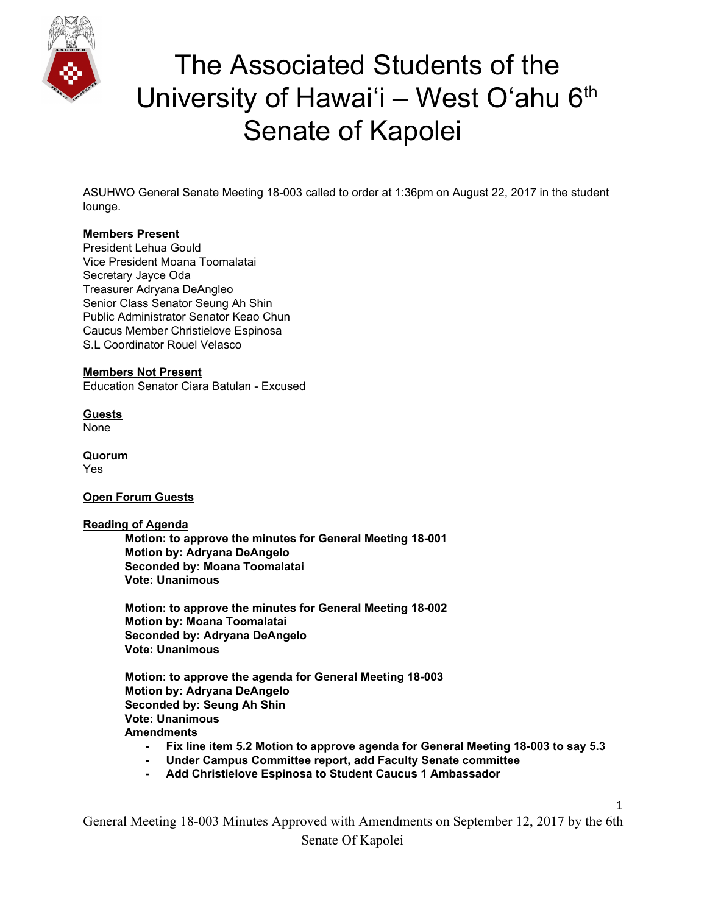

ASUHWO General Senate Meeting 18-003 called to order at 1:36pm on August 22, 2017 in the student lounge.

#### **Members Present**

President Lehua Gould Vice President Moana Toomalatai Secretary Jayce Oda Treasurer Adryana DeAngleo Senior Class Senator Seung Ah Shin Public Administrator Senator Keao Chun Caucus Member Christielove Espinosa S.L Coordinator Rouel Velasco

#### **Members Not Present**

Education Senator Ciara Batulan - Excused

**Guests** None

**Quorum** Yes

#### **Open Forum Guests**

#### **Reading of Agenda**

**Motion: to approve the minutes for General Meeting 18-001 Motion by: Adryana DeAngelo Seconded by: Moana Toomalatai Vote: Unanimous**

**Motion: to approve the minutes for General Meeting 18-002 Motion by: Moana Toomalatai Seconded by: Adryana DeAngelo Vote: Unanimous**

**Motion: to approve the agenda for General Meeting 18-003 Motion by: Adryana DeAngelo Seconded by: Seung Ah Shin Vote: Unanimous Amendments**

- **- Fix line item 5.2 Motion to approve agenda for General Meeting 18-003 to say 5.3**
- **- Under Campus Committee report, add Faculty Senate committee**
- **- Add Christielove Espinosa to Student Caucus 1 Ambassador**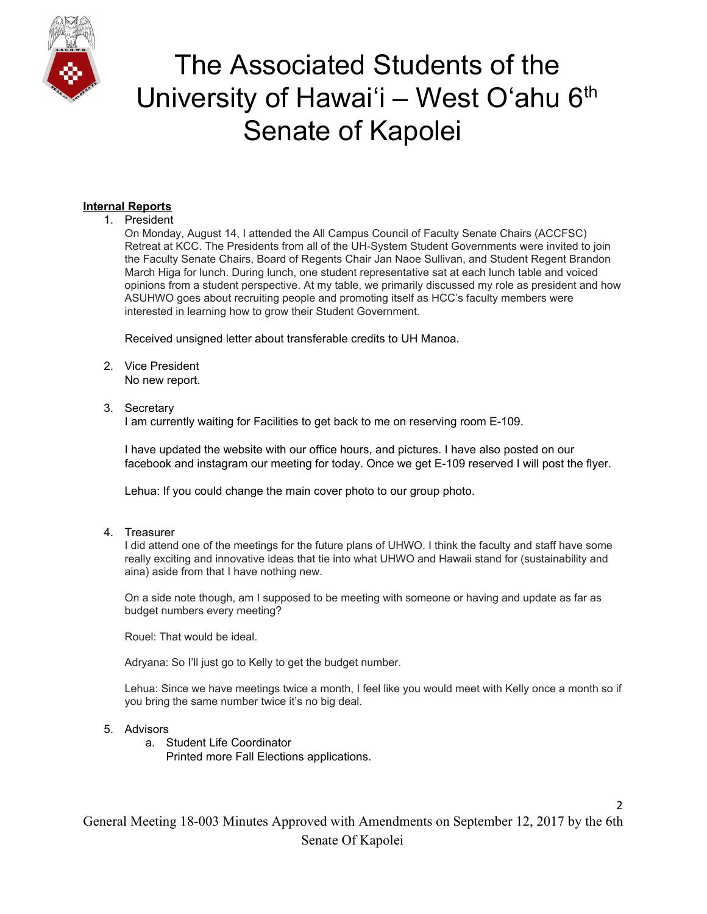

### **Internal Reports**

#### 1. President

On Monday, August 14, I attended the All Campus Council of Faculty Senate Chairs (ACCFSC) Retreat at KCC. The Presidents from all of the UH-System Student Governments were invited to join the Faculty Senate Chairs, Board of Regents Chair Jan Naoe Sullivan, and Student Regent Brandon March Higa for lunch. During lunch, one student representative sat at each lunch table and voiced opinions from a student perspective. At my table, we primarily discussed my role as president and how ASUHWO goes about recruiting people and promoting itself as HCC's faculty members were interested in learning how to grow their Student Government.

Received unsigned letter about transferable credits to UH Manoa.

- 2. Vice President No new report.
- 3. Secretary

I am currently waiting for Facilities to get back to me on reserving room E-109.

I have updated the website with our office hours, and pictures. I have also posted on our facebook and instagram our meeting for today. Once we get E-109 reserved I will post the flyer.

Lehua: If you could change the main cover photo to our group photo.

4. Treasurer

I did attend one of the meetings for the future plans of UHWO. I think the faculty and staff have some really exciting and innovative ideas that tie into what UHWO and Hawaii stand for (sustainability and aina) aside from that I have nothing new.

On a side note though, am I supposed to be meeting with someone or having and update as far as budget numbers every meeting?

Rouel: That would be ideal.

Adryana: So I'll just go to Kelly to get the budget number.

Lehua: Since we have meetings twice a month, I feel like you would meet with Kelly once a month so if you bring the same number twice it's no big deal.

2

- 5. Advisors
	- a. Student Life Coordinator Printed more Fall Elections applications.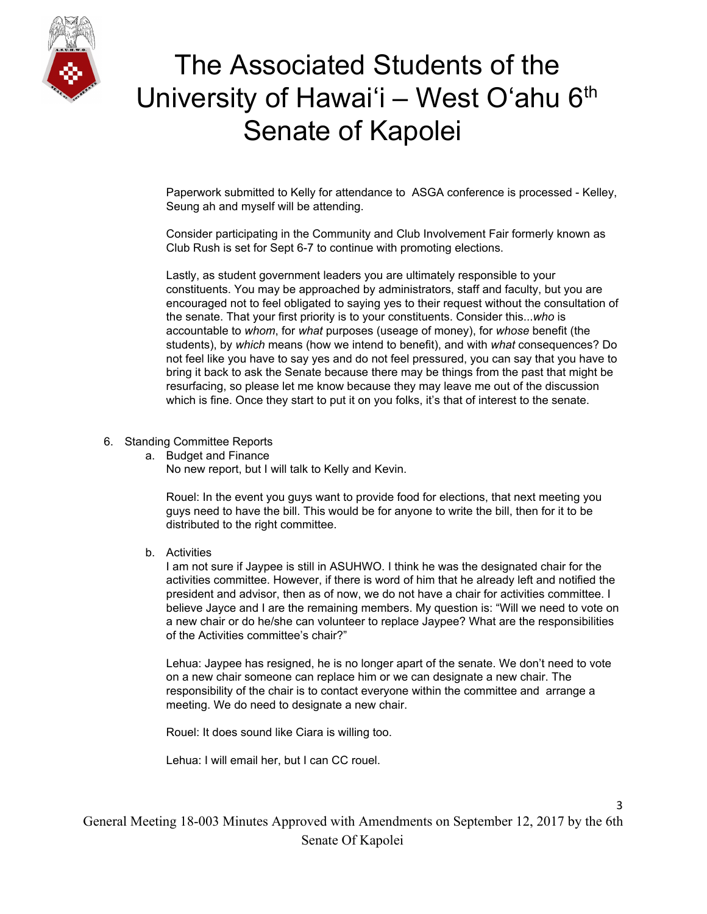

Paperwork submitted to Kelly for attendance to ASGA conference is processed - Kelley, Seung ah and myself will be attending.

Consider participating in the Community and Club Involvement Fair formerly known as Club Rush is set for Sept 6-7 to continue with promoting elections.

Lastly, as student government leaders you are ultimately responsible to your constituents. You may be approached by administrators, staff and faculty, but you are encouraged not to feel obligated to saying yes to their request without the consultation of the senate. That your first priority is to your constituents. Consider this...*who* is accountable to *whom*, for *what* purposes (useage of money), for *whose* benefit (the students), by *which* means (how we intend to benefit), and with *what* consequences? Do not feel like you have to say yes and do not feel pressured, you can say that you have to bring it back to ask the Senate because there may be things from the past that might be resurfacing, so please let me know because they may leave me out of the discussion which is fine. Once they start to put it on you folks, it's that of interest to the senate.

#### 6. Standing Committee Reports

a. Budget and Finance

No new report, but I will talk to Kelly and Kevin.

Rouel: In the event you guys want to provide food for elections, that next meeting you guys need to have the bill. This would be for anyone to write the bill, then for it to be distributed to the right committee.

b. Activities

I am not sure if Jaypee is still in ASUHWO. I think he was the designated chair for the activities committee. However, if there is word of him that he already left and notified the president and advisor, then as of now, we do not have a chair for activities committee. I believe Jayce and I are the remaining members. My question is: "Will we need to vote on a new chair or do he/she can volunteer to replace Jaypee? What are the responsibilities of the Activities committee's chair?"

Lehua: Jaypee has resigned, he is no longer apart of the senate. We don't need to vote on a new chair someone can replace him or we can designate a new chair. The responsibility of the chair is to contact everyone within the committee and arrange a meeting. We do need to designate a new chair.

Rouel: It does sound like Ciara is willing too.

Lehua: I will email her, but I can CC rouel.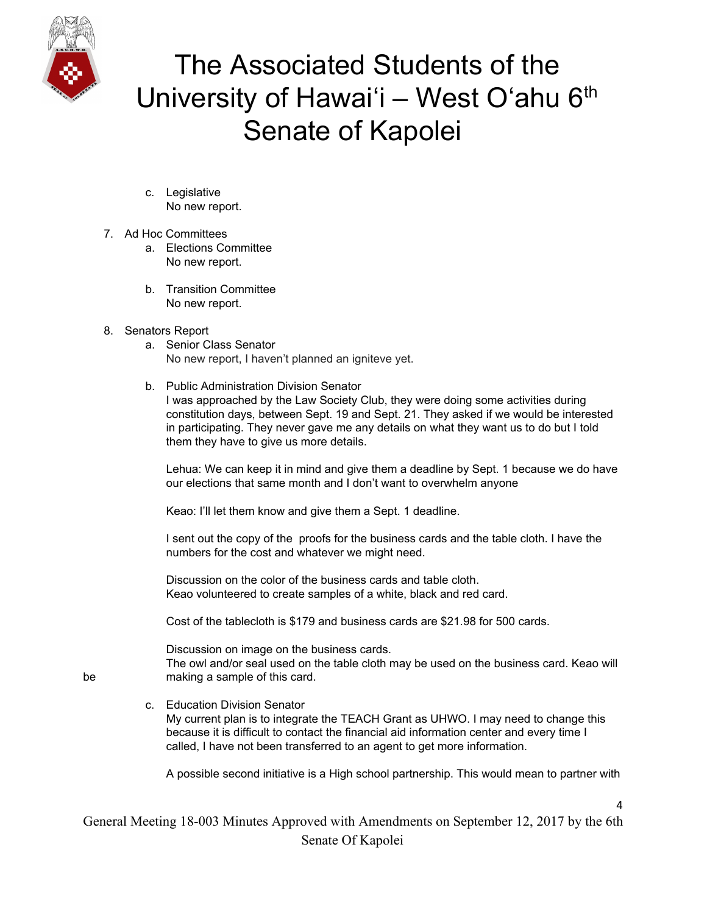

- c. Legislative No new report.
- 7. Ad Hoc Committees
	- a. Elections Committee No new report.
	- b. Transition Committee No new report.
- 8. Senators Report
	- a. Senior Class Senator No new report, I haven't planned an igniteve yet.
	- b. Public Administration Division Senator

I was approached by the Law Society Club, they were doing some activities during constitution days, between Sept. 19 and Sept. 21. They asked if we would be interested in participating. They never gave me any details on what they want us to do but I told them they have to give us more details.

Lehua: We can keep it in mind and give them a deadline by Sept. 1 because we do have our elections that same month and I don't want to overwhelm anyone

Keao: I'll let them know and give them a Sept. 1 deadline.

I sent out the copy of the proofs for the business cards and the table cloth. I have the numbers for the cost and whatever we might need.

Discussion on the color of the business cards and table cloth. Keao volunteered to create samples of a white, black and red card.

Cost of the tablecloth is \$179 and business cards are \$21.98 for 500 cards.

Discussion on image on the business cards.

The owl and/or seal used on the table cloth may be used on the business card. Keao will be making a sample of this card.

- 
- c. Education Division Senator My current plan is to integrate the TEACH Grant as UHWO. I may need to change this because it is difficult to contact the financial aid information center and every time I called, I have not been transferred to an agent to get more information.

A possible second initiative is a High school partnership. This would mean to partner with

 $\lambda$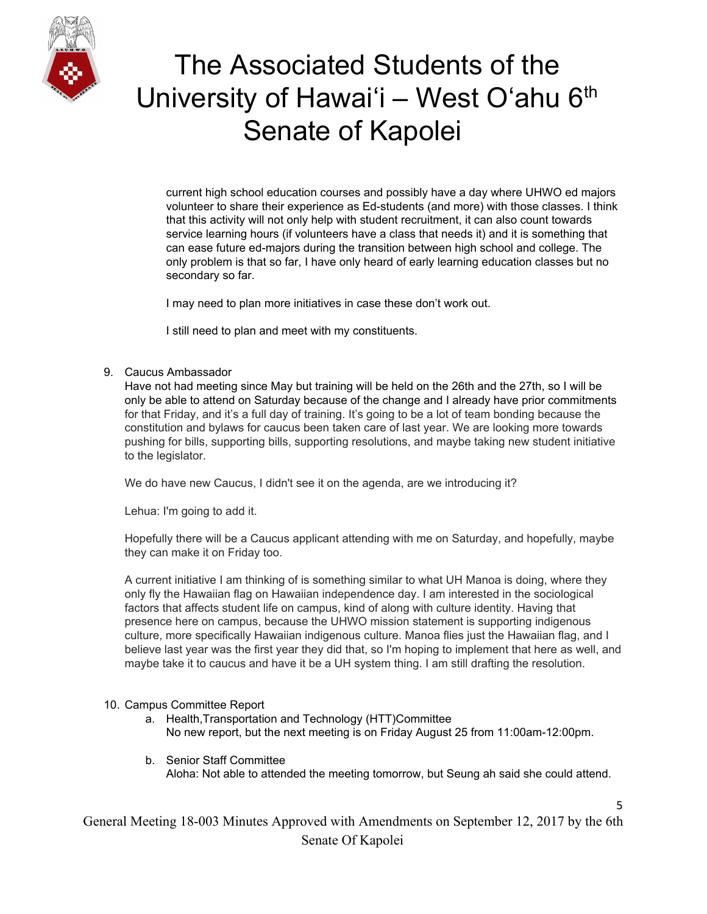

current high school education courses and possibly have a day where UHWO ed majors volunteer to share their experience as Ed-students (and more) with those classes. I think that this activity will not only help with student recruitment, it can also count towards service learning hours (if volunteers have a class that needs it) and it is something that can ease future ed-majors during the transition between high school and college. The only problem is that so far, I have only heard of early learning education classes but no secondary so far.

I may need to plan more initiatives in case these don't work out.

I still need to plan and meet with my constituents.

#### 9. Caucus Ambassador

Have not had meeting since May but training will be held on the 26th and the 27th, so I will be only be able to attend on Saturday because of the change and I already have prior commitments for that Friday, and it's a full day of training. It's going to be a lot of team bonding because the constitution and bylaws for caucus been taken care of last year. We are looking more towards pushing for bills, supporting bills, supporting resolutions, and maybe taking new student initiative to the legislator.

We do have new Caucus, I didn't see it on the agenda, are we introducing it?

Lehua: I'm going to add it.

Hopefully there will be a Caucus applicant attending with me on Saturday, and hopefully, maybe they can make it on Friday too.

A current initiative I am thinking of is something similar to what UH Manoa is doing, where they only fly the Hawaiian flag on Hawaiian independence day. I am interested in the sociological factors that affects student life on campus, kind of along with culture identity. Having that presence here on campus, because the UHWO mission statement is supporting indigenous culture, more specifically Hawaiian indigenous culture. Manoa flies just the Hawaiian flag, and I believe last year was the first year they did that, so I'm hoping to implement that here as well, and maybe take it to caucus and have it be a UH system thing. I am still drafting the resolution.

#### 10. Campus Committee Report

- a. Health,Transportation and Technology (HTT)Committee No new report, but the next meeting is on Friday August 25 from 11:00am-12:00pm.
- b. Senior Staff Committee Aloha: Not able to attended the meeting tomorrow, but Seung ah said she could attend.

5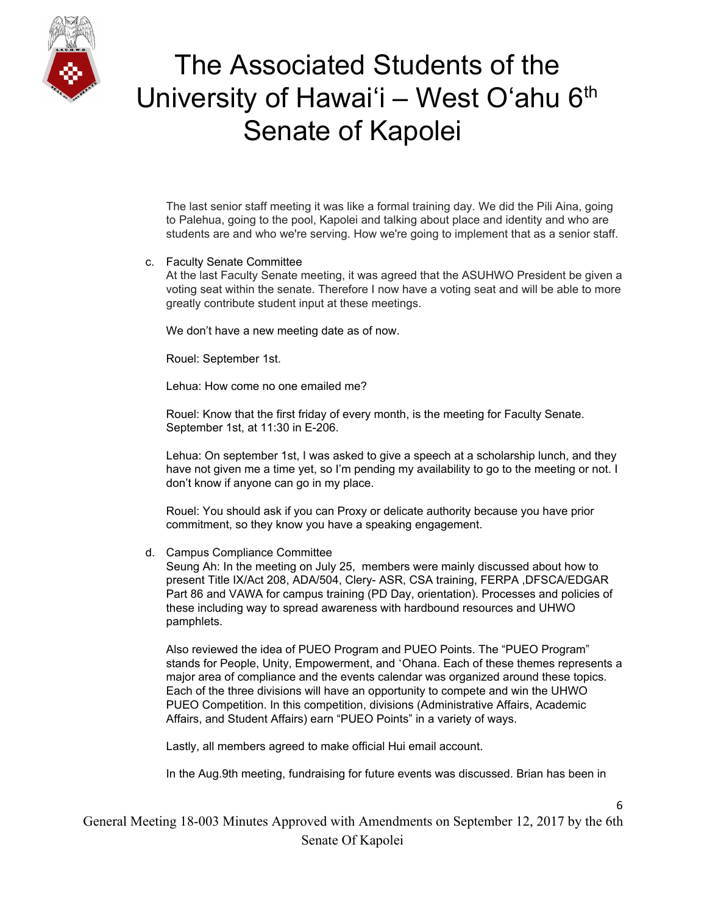

The last senior staff meeting it was like a formal training day. We did the Pili Aina, going to Palehua, going to the pool, Kapolei and talking about place and identity and who are students are and who we're serving. How we're going to implement that as a senior staff.

#### c. Faculty Senate Committee

At the last Faculty Senate meeting, it was agreed that the ASUHWO President be given a voting seat within the senate. Therefore I now have a voting seat and will be able to more greatly contribute student input at these meetings.

We don't have a new meeting date as of now.

Rouel: September 1st.

Lehua: How come no one emailed me?

Rouel: Know that the first friday of every month, is the meeting for Faculty Senate. September 1st, at 11:30 in E-206.

Lehua: On september 1st, I was asked to give a speech at a scholarship lunch, and they have not given me a time yet, so I'm pending my availability to go to the meeting or not. I don't know if anyone can go in my place.

Rouel: You should ask if you can Proxy or delicate authority because you have prior commitment, so they know you have a speaking engagement.

#### d. Campus Compliance Committee

Seung Ah: In the meeting on July 25, members were mainly discussed about how to present Title IX/Act 208, ADA/504, Clery- ASR, CSA training, FERPA ,DFSCA/EDGAR Part 86 and VAWA for campus training (PD Day, orientation). Processes and policies of these including way to spread awareness with hardbound resources and UHWO pamphlets.

Also reviewed the idea of PUEO Program and PUEO Points. The "PUEO Program" stands for People, Unity, Empowerment, and ʻOhana. Each of these themes represents a major area of compliance and the events calendar was organized around these topics. Each of the three divisions will have an opportunity to compete and win the UHWO PUEO Competition. In this competition, divisions (Administrative Affairs, Academic Affairs, and Student Affairs) earn "PUEO Points" in a variety of ways.

Lastly, all members agreed to make official Hui email account.

In the Aug.9th meeting, fundraising for future events was discussed. Brian has been in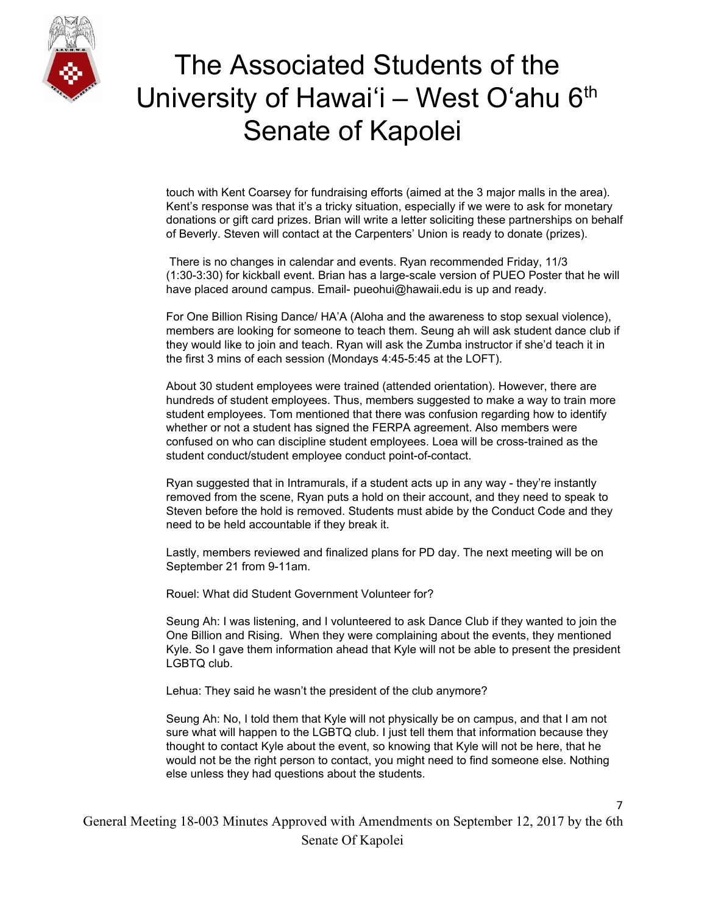

touch with Kent Coarsey for fundraising efforts (aimed at the 3 major malls in the area). Kent's response was that it's a tricky situation, especially if we were to ask for monetary donations or gift card prizes. Brian will write a letter soliciting these partnerships on behalf of Beverly. Steven will contact at the Carpenters' Union is ready to donate (prizes).

There is no changes in calendar and events. Ryan recommended Friday, 11/3 (1:30-3:30) for kickball event. Brian has a large-scale version of PUEO Poster that he will have placed around campus. Email- pueohui@hawaii.edu is up and ready.

For One Billion Rising Dance/ HA'A (Aloha and the awareness to stop sexual violence), members are looking for someone to teach them. Seung ah will ask student dance club if they would like to join and teach. Ryan will ask the Zumba instructor if she'd teach it in the first 3 mins of each session (Mondays 4:45-5:45 at the LOFT).

About 30 student employees were trained (attended orientation). However, there are hundreds of student employees. Thus, members suggested to make a way to train more student employees. Tom mentioned that there was confusion regarding how to identify whether or not a student has signed the FERPA agreement. Also members were confused on who can discipline student employees. Loea will be cross-trained as the student conduct/student employee conduct point-of-contact.

Ryan suggested that in Intramurals, if a student acts up in any way - they're instantly removed from the scene, Ryan puts a hold on their account, and they need to speak to Steven before the hold is removed. Students must abide by the Conduct Code and they need to be held accountable if they break it.

Lastly, members reviewed and finalized plans for PD day. The next meeting will be on September 21 from 9-11am.

Rouel: What did Student Government Volunteer for?

Seung Ah: I was listening, and I volunteered to ask Dance Club if they wanted to join the One Billion and Rising. When they were complaining about the events, they mentioned Kyle. So I gave them information ahead that Kyle will not be able to present the president LGBTQ club.

Lehua: They said he wasn't the president of the club anymore?

Seung Ah: No, I told them that Kyle will not physically be on campus, and that I am not sure what will happen to the LGBTQ club. I just tell them that information because they thought to contact Kyle about the event, so knowing that Kyle will not be here, that he would not be the right person to contact, you might need to find someone else. Nothing else unless they had questions about the students.

7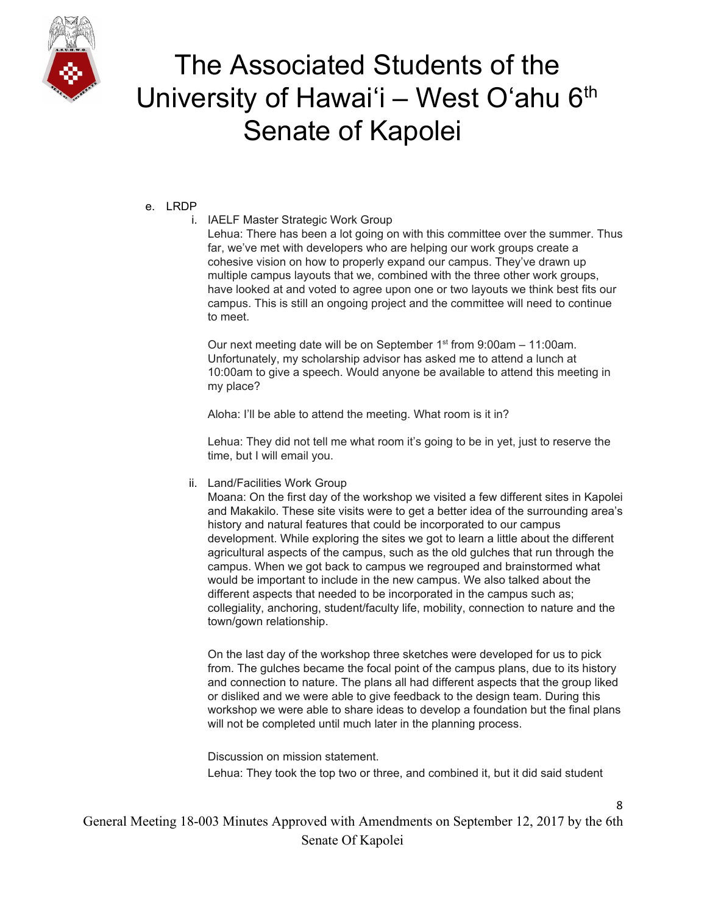

### e. LRDP

### i. IAELF Master Strategic Work Group

Lehua: There has been a lot going on with this committee over the summer. Thus far, we've met with developers who are helping our work groups create a cohesive vision on how to properly expand our campus. They've drawn up multiple campus layouts that we, combined with the three other work groups, have looked at and voted to agree upon one or two layouts we think best fits our campus. This is still an ongoing project and the committee will need to continue to meet.

Our next meeting date will be on September  $1<sup>st</sup>$  from 9:00am - 11:00am. Unfortunately, my scholarship advisor has asked me to attend a lunch at 10:00am to give a speech. Would anyone be available to attend this meeting in my place?

Aloha: I'll be able to attend the meeting. What room is it in?

Lehua: They did not tell me what room it's going to be in yet, just to reserve the time, but I will email you.

ii. Land/Facilities Work Group

Moana: On the first day of the workshop we visited a few different sites in Kapolei and Makakilo. These site visits were to get a better idea of the surrounding area's history and natural features that could be incorporated to our campus development. While exploring the sites we got to learn a little about the different agricultural aspects of the campus, such as the old gulches that run through the campus. When we got back to campus we regrouped and brainstormed what would be important to include in the new campus. We also talked about the different aspects that needed to be incorporated in the campus such as; collegiality, anchoring, student/faculty life, mobility, connection to nature and the town/gown relationship.

On the last day of the workshop three sketches were developed for us to pick from. The gulches became the focal point of the campus plans, due to its history and connection to nature. The plans all had different aspects that the group liked or disliked and we were able to give feedback to the design team. During this workshop we were able to share ideas to develop a foundation but the final plans will not be completed until much later in the planning process.

Discussion on mission statement. Lehua: They took the top two or three, and combined it, but it did said student

8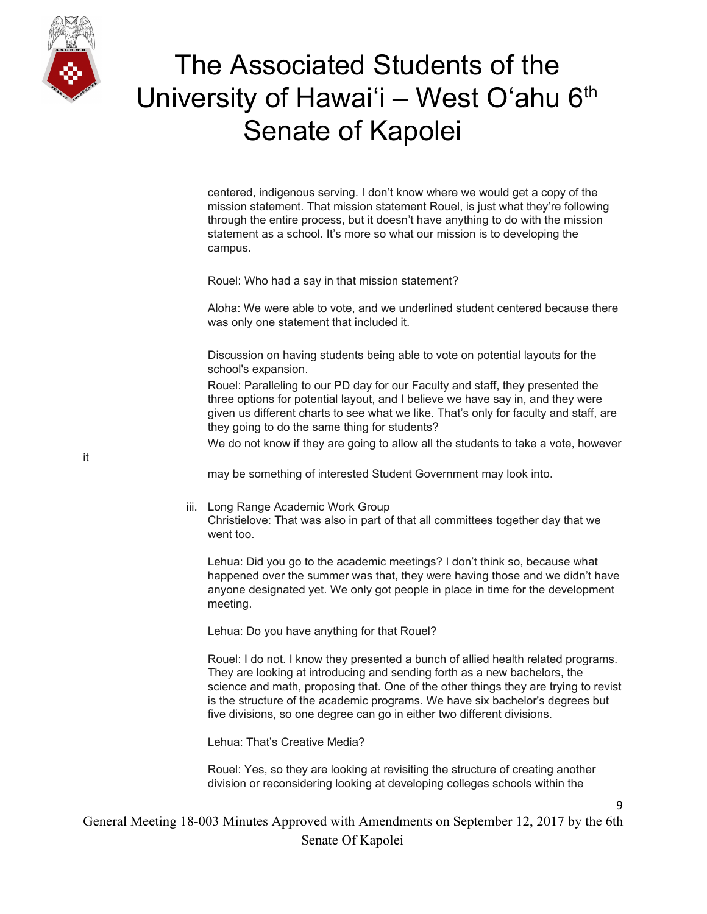

centered, indigenous serving. I don't know where we would get a copy of the mission statement. That mission statement Rouel, is just what they're following through the entire process, but it doesn't have anything to do with the mission statement as a school. It's more so what our mission is to developing the campus.

Rouel: Who had a say in that mission statement?

Aloha: We were able to vote, and we underlined student centered because there was only one statement that included it.

Discussion on having students being able to vote on potential layouts for the school's expansion.

Rouel: Paralleling to our PD day for our Faculty and staff, they presented the three options for potential layout, and I believe we have say in, and they were given us different charts to see what we like. That's only for faculty and staff, are they going to do the same thing for students?

We do not know if they are going to allow all the students to take a vote, however

may be something of interested Student Government may look into.

#### iii. Long Range Academic Work Group

Christielove: That was also in part of that all committees together day that we went too.

Lehua: Did you go to the academic meetings? I don't think so, because what happened over the summer was that, they were having those and we didn't have anyone designated yet. We only got people in place in time for the development meeting.

Lehua: Do you have anything for that Rouel?

Rouel: I do not. I know they presented a bunch of allied health related programs. They are looking at introducing and sending forth as a new bachelors, the science and math, proposing that. One of the other things they are trying to revist is the structure of the academic programs. We have six bachelor's degrees but five divisions, so one degree can go in either two different divisions.

Lehua: That's Creative Media?

Rouel: Yes, so they are looking at revisiting the structure of creating another division or reconsidering looking at developing colleges schools within the

 $\overline{a}$ 

General Meeting 18-003 Minutes Approved with Amendments on September 12, 2017 by the 6th Senate Of Kapolei

it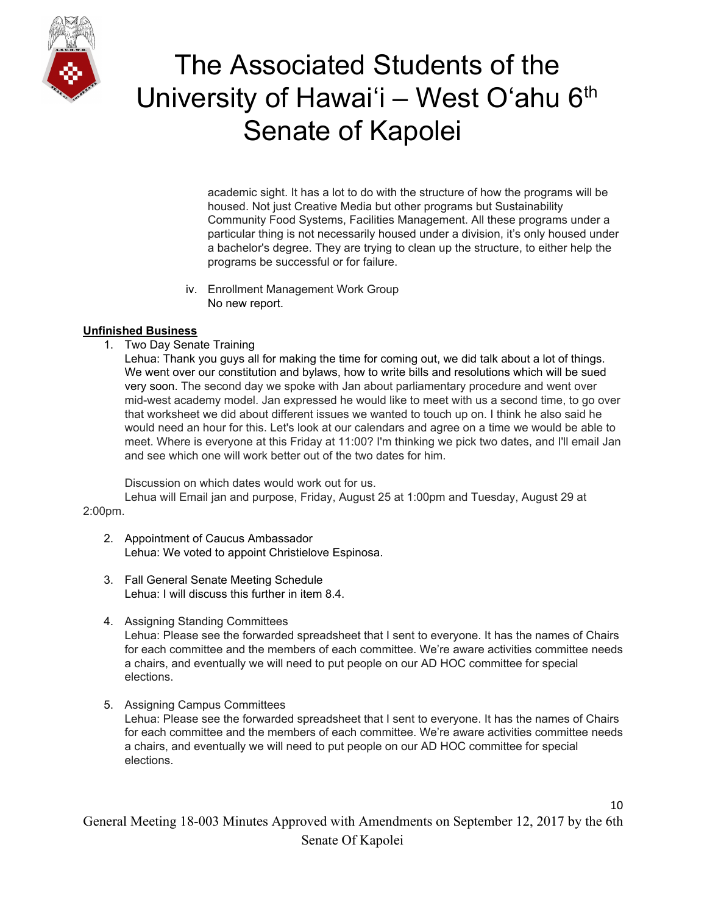

academic sight. It has a lot to do with the structure of how the programs will be housed. Not just Creative Media but other programs but Sustainability Community Food Systems, Facilities Management. All these programs under a particular thing is not necessarily housed under a division, it's only housed under a bachelor's degree. They are trying to clean up the structure, to either help the programs be successful or for failure.

iv. Enrollment Management Work Group No new report.

### **Unfinished Business**

1. Two Day Senate Training

Lehua: Thank you guys all for making the time for coming out, we did talk about a lot of things. We went over our constitution and bylaws, how to write bills and resolutions which will be sued very soon. The second day we spoke with Jan about parliamentary procedure and went over mid-west academy model. Jan expressed he would like to meet with us a second time, to go over that worksheet we did about different issues we wanted to touch up on. I think he also said he would need an hour for this. Let's look at our calendars and agree on a time we would be able to meet. Where is everyone at this Friday at 11:00? I'm thinking we pick two dates, and I'll email Jan and see which one will work better out of the two dates for him.

Discussion on which dates would work out for us.

Lehua will Email jan and purpose, Friday, August 25 at 1:00pm and Tuesday, August 29 at 2:00pm.

- - 2. Appointment of Caucus Ambassador Lehua: We voted to appoint Christielove Espinosa.
	- 3. Fall General Senate Meeting Schedule Lehua: I will discuss this further in item 8.4.
	- 4. Assigning Standing Committees

Lehua: Please see the forwarded spreadsheet that I sent to everyone. It has the names of Chairs for each committee and the members of each committee. We're aware activities committee needs a chairs, and eventually we will need to put people on our AD HOC committee for special elections.

5. Assigning Campus Committees

Lehua: Please see the forwarded spreadsheet that I sent to everyone. It has the names of Chairs for each committee and the members of each committee. We're aware activities committee needs a chairs, and eventually we will need to put people on our AD HOC committee for special elections.

10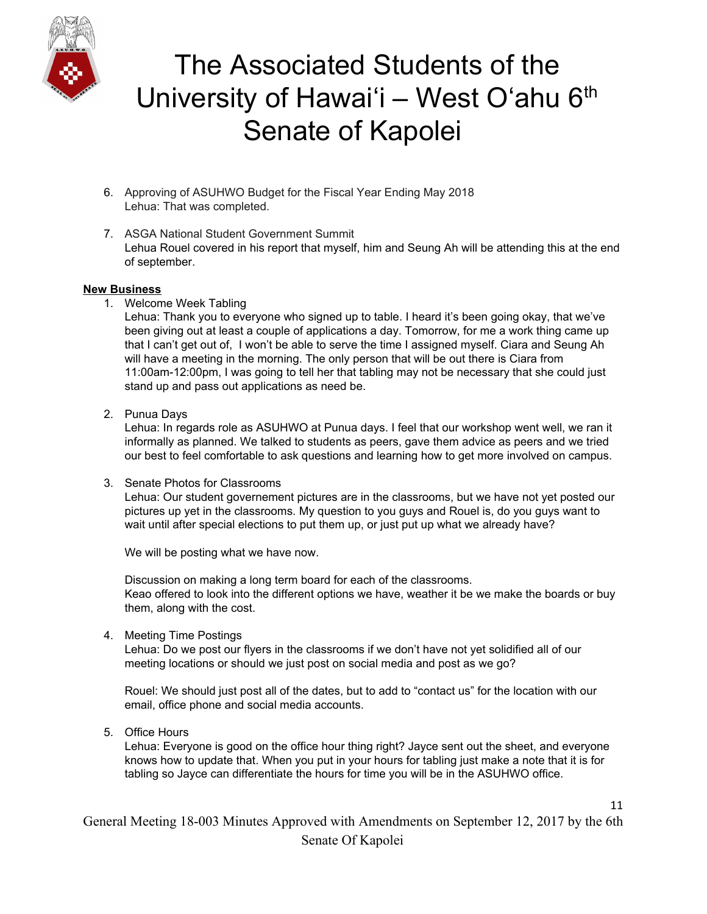

- 6. Approving of ASUHWO Budget for the Fiscal Year Ending May 2018 Lehua: That was completed.
- 7. ASGA National Student Government Summit Lehua Rouel covered in his report that myself, him and Seung Ah will be attending this at the end of september.

#### **New Business**

1. Welcome Week Tabling

Lehua: Thank you to everyone who signed up to table. I heard it's been going okay, that we've been giving out at least a couple of applications a day. Tomorrow, for me a work thing came up that I can't get out of, I won't be able to serve the time I assigned myself. Ciara and Seung Ah will have a meeting in the morning. The only person that will be out there is Ciara from 11:00am-12:00pm, I was going to tell her that tabling may not be necessary that she could just stand up and pass out applications as need be.

2. Punua Days

Lehua: In regards role as ASUHWO at Punua days. I feel that our workshop went well, we ran it informally as planned. We talked to students as peers, gave them advice as peers and we tried our best to feel comfortable to ask questions and learning how to get more involved on campus.

3. Senate Photos for Classrooms

Lehua: Our student governement pictures are in the classrooms, but we have not yet posted our pictures up yet in the classrooms. My question to you guys and Rouel is, do you guys want to wait until after special elections to put them up, or just put up what we already have?

We will be posting what we have now.

Discussion on making a long term board for each of the classrooms. Keao offered to look into the different options we have, weather it be we make the boards or buy them, along with the cost.

4. Meeting Time Postings

Lehua: Do we post our flyers in the classrooms if we don't have not yet solidified all of our meeting locations or should we just post on social media and post as we go?

Rouel: We should just post all of the dates, but to add to "contact us" for the location with our email, office phone and social media accounts.

5. Office Hours

Lehua: Everyone is good on the office hour thing right? Jayce sent out the sheet, and everyone knows how to update that. When you put in your hours for tabling just make a note that it is for tabling so Jayce can differentiate the hours for time you will be in the ASUHWO office.

11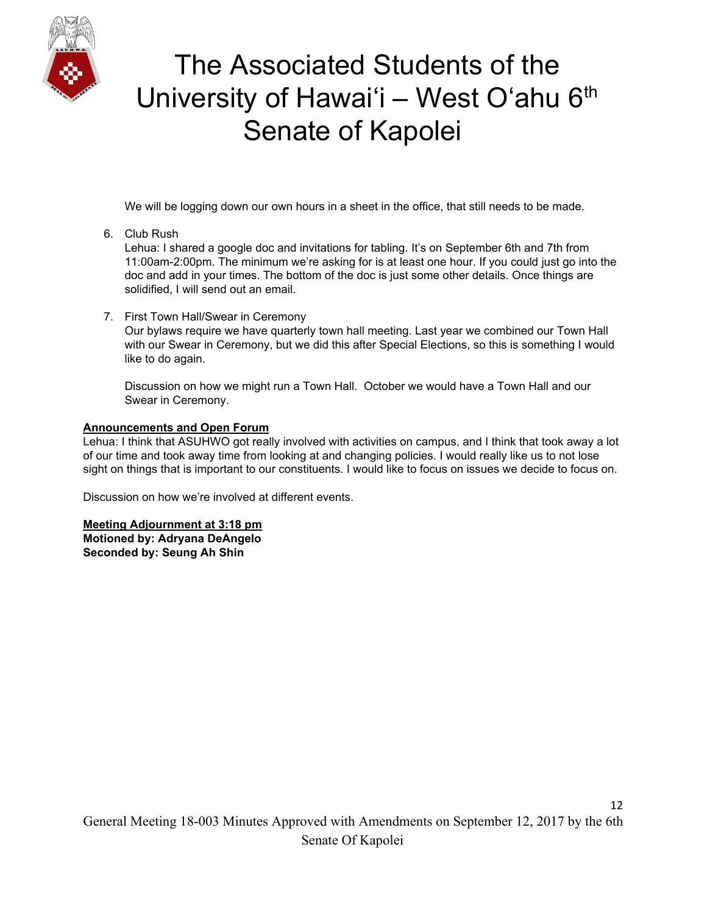

We will be logging down our own hours in a sheet in the office, that still needs to be made.

6. Club Rush

Lehua: I shared a google doc and invitations for tabling. It's on September 6th and 7th from 11:00am-2:00pm. The minimum we're asking for is at least one hour. If you could just go into the doc and add in your times. The bottom of the doc is just some other details. Once things are solidified, I will send out an email.

7. First Town Hall/Swear in Ceremony

Our bylaws require we have quarterly town hall meeting. Last year we combined our Town Hall with our Swear in Ceremony, but we did this after Special Elections, so this is something I would like to do again.

Discussion on how we might run a Town Hall. October we would have a Town Hall and our Swear in Ceremony.

### **Announcements and Open Forum**

Lehua: I think that ASUHWO got really involved with activities on campus, and I think that took away a lot of our time and took away time from looking at and changing policies. I would really like us to not lose sight on things that is important to our constituents. I would like to focus on issues we decide to focus on.

Discussion on how we're involved at different events.

### **Meeting Adjournment at 3:18 pm**

**Motioned by: Adryana DeAngelo Seconded by: Seung Ah Shin**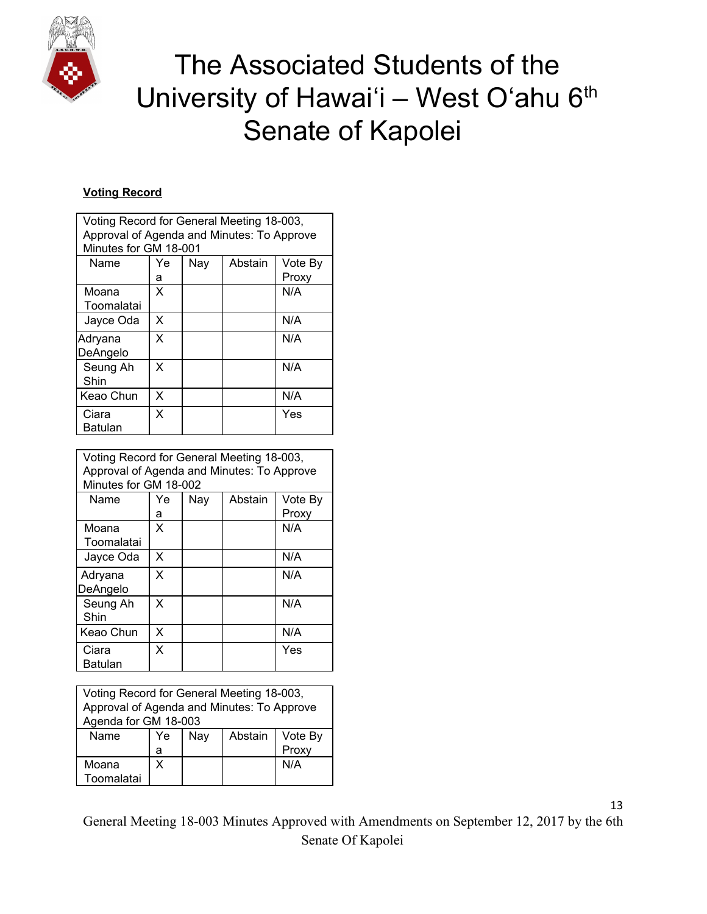

### **Voting Record**

| Voting Record for General Meeting 18-003,<br>Approval of Agenda and Minutes: To Approve<br>Minutes for GM 18-001 |    |     |         |         |
|------------------------------------------------------------------------------------------------------------------|----|-----|---------|---------|
| Name                                                                                                             | Ye | Nay | Abstain | Vote By |
|                                                                                                                  | а  |     |         | Proxy   |
| Moana<br>Toomalatai                                                                                              | X  |     |         | N/A     |
| Jayce Oda                                                                                                        | X  |     |         | N/A     |
| Adryana<br>DeAngelo                                                                                              | X  |     |         | N/A     |
| Seung Ah<br>Shin                                                                                                 | X  |     |         | N/A     |
| Keao Chun                                                                                                        | X  |     |         | N/A     |
| Ciara<br>Batulan                                                                                                 | X  |     |         | Yes     |

| Voting Record for General Meeting 18-003,<br>Approval of Agenda and Minutes: To Approve<br>Minutes for GM 18-002 |    |     |         |         |
|------------------------------------------------------------------------------------------------------------------|----|-----|---------|---------|
| Name                                                                                                             | Ye | Nay | Abstain | Vote By |
|                                                                                                                  | а  |     |         | Proxy   |
| Moana                                                                                                            | x  |     |         | N/A     |
| Toomalatai                                                                                                       |    |     |         |         |
| Jayce Oda                                                                                                        | X  |     |         | N/A     |
| Adryana                                                                                                          | X  |     |         | N/A     |
| DeAngelo                                                                                                         |    |     |         |         |
| Seung Ah                                                                                                         | X  |     |         | N/A     |
| Shin                                                                                                             |    |     |         |         |
| Keao Chun                                                                                                        | x  |     |         | N/A     |
| Ciara                                                                                                            | X  |     |         | Yes     |
| Batulan                                                                                                          |    |     |         |         |

| Voting Record for General Meeting 18-003,  |    |     |         |         |
|--------------------------------------------|----|-----|---------|---------|
| Approval of Agenda and Minutes: To Approve |    |     |         |         |
| Agenda for GM 18-003                       |    |     |         |         |
| Name                                       | Ye | Nay | Abstain | Vote By |
|                                            | a  |     |         | Proxy   |
| Moana                                      | x  |     |         | N/A     |
| Toomalatai                                 |    |     |         |         |